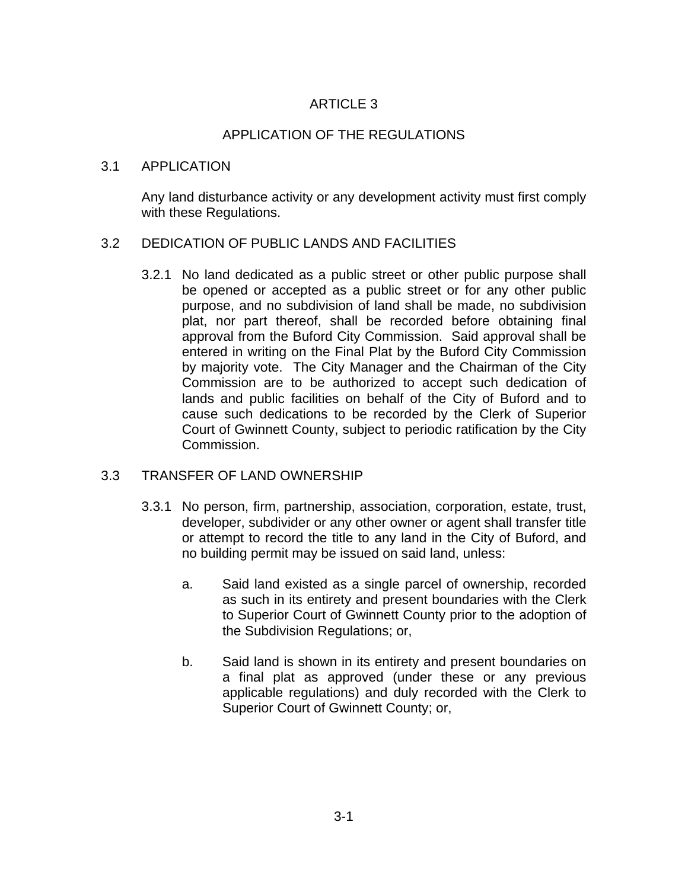# ARTICLE 3

## APPLICATION OF THE REGULATIONS

#### 3.1 APPLICATION

Any land disturbance activity or any development activity must first comply with these Regulations.

#### 3.2 DEDICATION OF PUBLIC LANDS AND FACILITIES

3.2.1 No land dedicated as a public street or other public purpose shall be opened or accepted as a public street or for any other public purpose, and no subdivision of land shall be made, no subdivision plat, nor part thereof, shall be recorded before obtaining final approval from the Buford City Commission. Said approval shall be entered in writing on the Final Plat by the Buford City Commission by majority vote. The City Manager and the Chairman of the City Commission are to be authorized to accept such dedication of lands and public facilities on behalf of the City of Buford and to cause such dedications to be recorded by the Clerk of Superior Court of Gwinnett County, subject to periodic ratification by the City Commission.

#### 3.3 TRANSFER OF LAND OWNERSHIP

- 3.3.1 No person, firm, partnership, association, corporation, estate, trust, developer, subdivider or any other owner or agent shall transfer title or attempt to record the title to any land in the City of Buford, and no building permit may be issued on said land, unless:
	- a. Said land existed as a single parcel of ownership, recorded as such in its entirety and present boundaries with the Clerk to Superior Court of Gwinnett County prior to the adoption of the Subdivision Regulations; or,
	- b. Said land is shown in its entirety and present boundaries on a final plat as approved (under these or any previous applicable regulations) and duly recorded with the Clerk to Superior Court of Gwinnett County; or,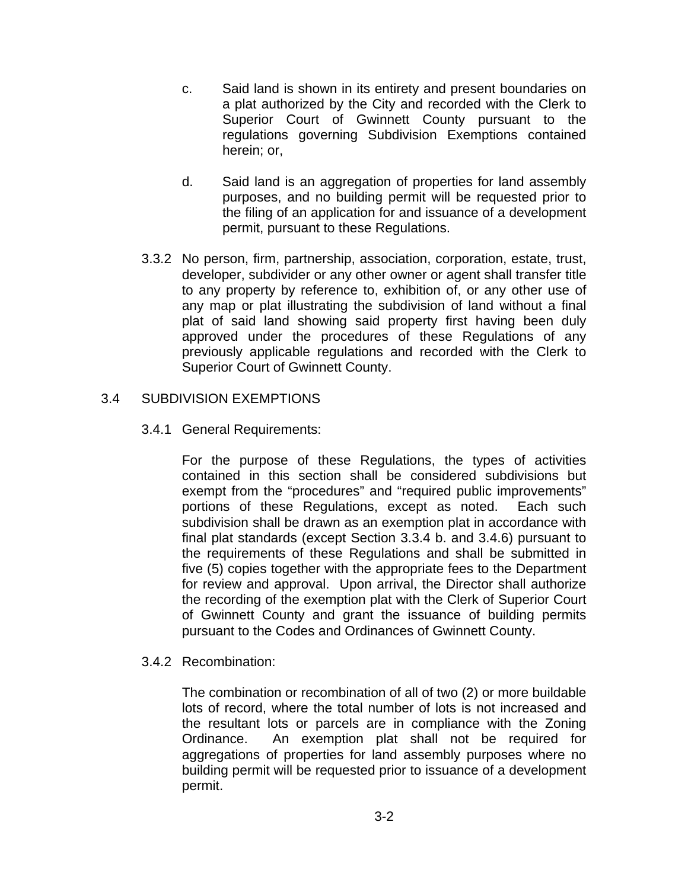- c. Said land is shown in its entirety and present boundaries on a plat authorized by the City and recorded with the Clerk to Superior Court of Gwinnett County pursuant to the regulations governing Subdivision Exemptions contained herein; or,
- d. Said land is an aggregation of properties for land assembly purposes, and no building permit will be requested prior to the filing of an application for and issuance of a development permit, pursuant to these Regulations.
- 3.3.2 No person, firm, partnership, association, corporation, estate, trust, developer, subdivider or any other owner or agent shall transfer title to any property by reference to, exhibition of, or any other use of any map or plat illustrating the subdivision of land without a final plat of said land showing said property first having been duly approved under the procedures of these Regulations of any previously applicable regulations and recorded with the Clerk to Superior Court of Gwinnett County.

## 3.4 SUBDIVISION EXEMPTIONS

#### 3.4.1 General Requirements:

For the purpose of these Regulations, the types of activities contained in this section shall be considered subdivisions but exempt from the "procedures" and "required public improvements" portions of these Regulations, except as noted. Each such subdivision shall be drawn as an exemption plat in accordance with final plat standards (except Section 3.3.4 b. and 3.4.6) pursuant to the requirements of these Regulations and shall be submitted in five (5) copies together with the appropriate fees to the Department for review and approval. Upon arrival, the Director shall authorize the recording of the exemption plat with the Clerk of Superior Court of Gwinnett County and grant the issuance of building permits pursuant to the Codes and Ordinances of Gwinnett County.

## 3.4.2 Recombination:

The combination or recombination of all of two (2) or more buildable lots of record, where the total number of lots is not increased and the resultant lots or parcels are in compliance with the Zoning Ordinance. An exemption plat shall not be required for aggregations of properties for land assembly purposes where no building permit will be requested prior to issuance of a development permit.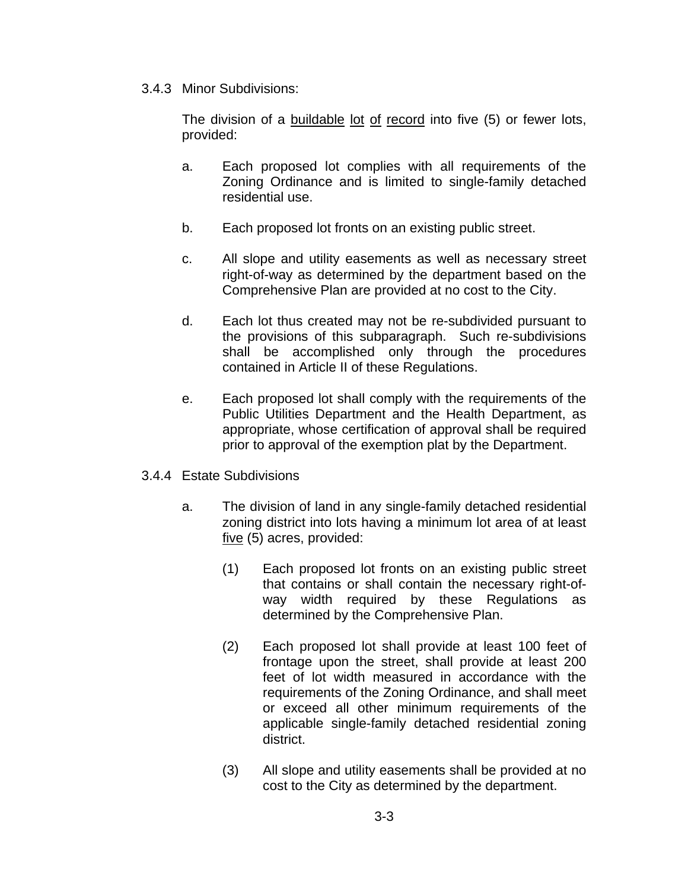3.4.3 Minor Subdivisions:

The division of a buildable lot of record into five (5) or fewer lots, provided:

- a. Each proposed lot complies with all requirements of the Zoning Ordinance and is limited to single-family detached residential use.
- b. Each proposed lot fronts on an existing public street.
- c. All slope and utility easements as well as necessary street right-of-way as determined by the department based on the Comprehensive Plan are provided at no cost to the City.
- d. Each lot thus created may not be re-subdivided pursuant to the provisions of this subparagraph. Such re-subdivisions shall be accomplished only through the procedures contained in Article II of these Regulations.
- e. Each proposed lot shall comply with the requirements of the Public Utilities Department and the Health Department, as appropriate, whose certification of approval shall be required prior to approval of the exemption plat by the Department.
- 3.4.4 Estate Subdivisions
	- a. The division of land in any single-family detached residential zoning district into lots having a minimum lot area of at least five (5) acres, provided:
		- (1) Each proposed lot fronts on an existing public street that contains or shall contain the necessary right-ofway width required by these Regulations as determined by the Comprehensive Plan.
		- (2) Each proposed lot shall provide at least 100 feet of frontage upon the street, shall provide at least 200 feet of lot width measured in accordance with the requirements of the Zoning Ordinance, and shall meet or exceed all other minimum requirements of the applicable single-family detached residential zoning district.
		- (3) All slope and utility easements shall be provided at no cost to the City as determined by the department.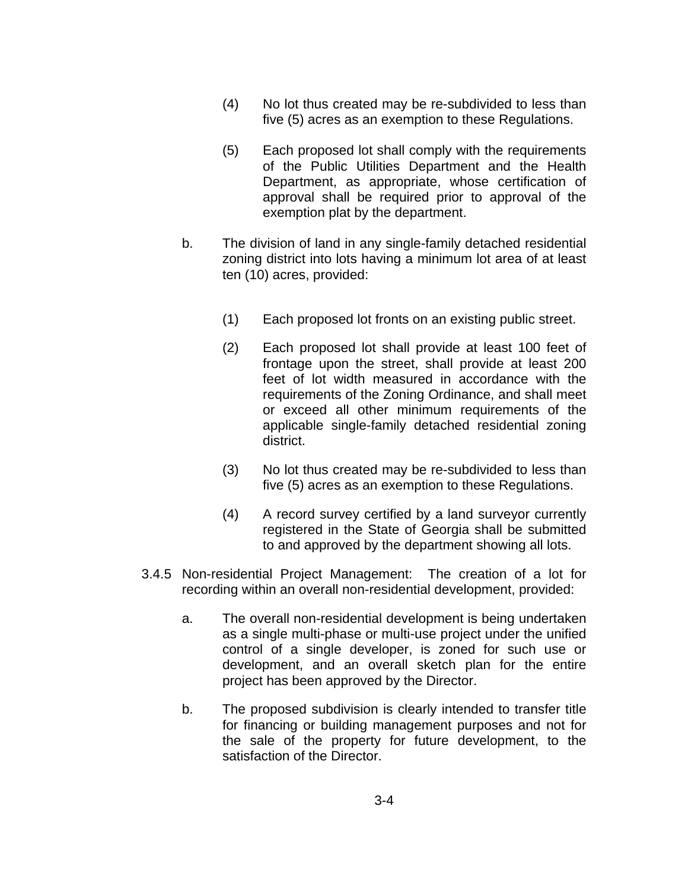- (4) No lot thus created may be re-subdivided to less than five (5) acres as an exemption to these Regulations.
- (5) Each proposed lot shall comply with the requirements of the Public Utilities Department and the Health Department, as appropriate, whose certification of approval shall be required prior to approval of the exemption plat by the department.
- b. The division of land in any single-family detached residential zoning district into lots having a minimum lot area of at least ten (10) acres, provided:
	- (1) Each proposed lot fronts on an existing public street.
	- (2) Each proposed lot shall provide at least 100 feet of frontage upon the street, shall provide at least 200 feet of lot width measured in accordance with the requirements of the Zoning Ordinance, and shall meet or exceed all other minimum requirements of the applicable single-family detached residential zoning district.
	- (3) No lot thus created may be re-subdivided to less than five (5) acres as an exemption to these Regulations.
	- (4) A record survey certified by a land surveyor currently registered in the State of Georgia shall be submitted to and approved by the department showing all lots.
- 3.4.5 Non-residential Project Management: The creation of a lot for recording within an overall non-residential development, provided:
	- a. The overall non-residential development is being undertaken as a single multi-phase or multi-use project under the unified control of a single developer, is zoned for such use or development, and an overall sketch plan for the entire project has been approved by the Director.
	- b. The proposed subdivision is clearly intended to transfer title for financing or building management purposes and not for the sale of the property for future development, to the satisfaction of the Director.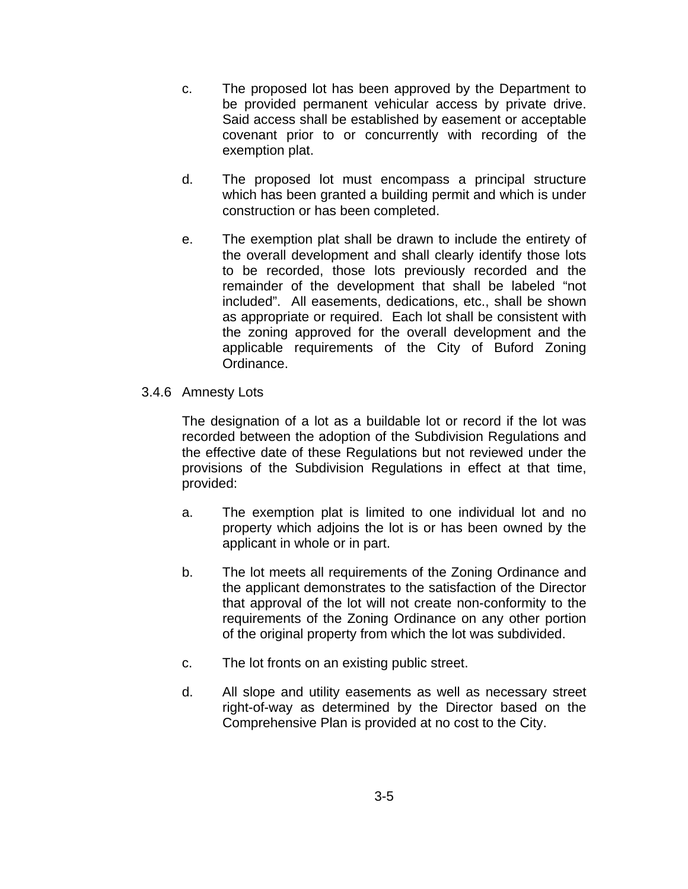- c. The proposed lot has been approved by the Department to be provided permanent vehicular access by private drive. Said access shall be established by easement or acceptable covenant prior to or concurrently with recording of the exemption plat.
- d. The proposed lot must encompass a principal structure which has been granted a building permit and which is under construction or has been completed.
- e. The exemption plat shall be drawn to include the entirety of the overall development and shall clearly identify those lots to be recorded, those lots previously recorded and the remainder of the development that shall be labeled "not included". All easements, dedications, etc., shall be shown as appropriate or required. Each lot shall be consistent with the zoning approved for the overall development and the applicable requirements of the City of Buford Zoning Ordinance.
- 3.4.6 Amnesty Lots

The designation of a lot as a buildable lot or record if the lot was recorded between the adoption of the Subdivision Regulations and the effective date of these Regulations but not reviewed under the provisions of the Subdivision Regulations in effect at that time, provided:

- a. The exemption plat is limited to one individual lot and no property which adjoins the lot is or has been owned by the applicant in whole or in part.
- b. The lot meets all requirements of the Zoning Ordinance and the applicant demonstrates to the satisfaction of the Director that approval of the lot will not create non-conformity to the requirements of the Zoning Ordinance on any other portion of the original property from which the lot was subdivided.
- c. The lot fronts on an existing public street.
- d. All slope and utility easements as well as necessary street right-of-way as determined by the Director based on the Comprehensive Plan is provided at no cost to the City.